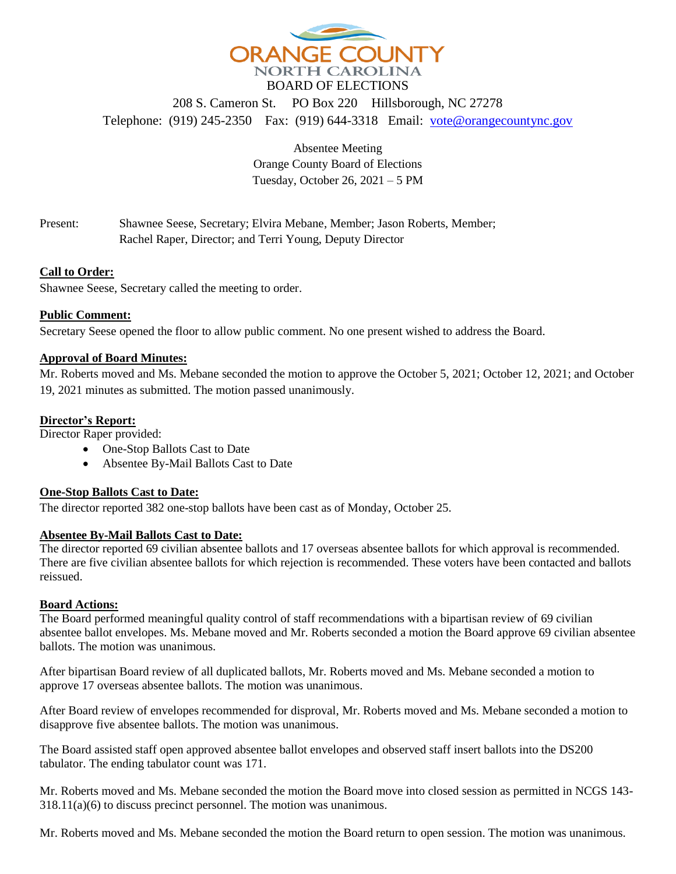

208 S. Cameron St. PO Box 220 Hillsborough, NC 27278 Telephone: (919) 245-2350 Fax: (919) 644-3318 Email: [vote@orangecountync.gov](mailto:vote@orangecountync.gov)

> Absentee Meeting Orange County Board of Elections Tuesday, October 26, 2021 – 5 PM

Present: Shawnee Seese, Secretary; Elvira Mebane, Member; Jason Roberts, Member; Rachel Raper, Director; and Terri Young, Deputy Director

# **Call to Order:**

Shawnee Seese, Secretary called the meeting to order.

# **Public Comment:**

Secretary Seese opened the floor to allow public comment. No one present wished to address the Board.

# **Approval of Board Minutes:**

Mr. Roberts moved and Ms. Mebane seconded the motion to approve the October 5, 2021; October 12, 2021; and October 19, 2021 minutes as submitted. The motion passed unanimously.

# **Director's Report:**

Director Raper provided:

- One-Stop Ballots Cast to Date
- Absentee By-Mail Ballots Cast to Date

### **One-Stop Ballots Cast to Date:**

The director reported 382 one-stop ballots have been cast as of Monday, October 25.

### **Absentee By-Mail Ballots Cast to Date:**

The director reported 69 civilian absentee ballots and 17 overseas absentee ballots for which approval is recommended. There are five civilian absentee ballots for which rejection is recommended. These voters have been contacted and ballots reissued.

### **Board Actions:**

The Board performed meaningful quality control of staff recommendations with a bipartisan review of 69 civilian absentee ballot envelopes. Ms. Mebane moved and Mr. Roberts seconded a motion the Board approve 69 civilian absentee ballots. The motion was unanimous.

After bipartisan Board review of all duplicated ballots, Mr. Roberts moved and Ms. Mebane seconded a motion to approve 17 overseas absentee ballots. The motion was unanimous.

After Board review of envelopes recommended for disproval, Mr. Roberts moved and Ms. Mebane seconded a motion to disapprove five absentee ballots. The motion was unanimous.

The Board assisted staff open approved absentee ballot envelopes and observed staff insert ballots into the DS200 tabulator. The ending tabulator count was 171.

Mr. Roberts moved and Ms. Mebane seconded the motion the Board move into closed session as permitted in NCGS 143- 318.11(a)(6) to discuss precinct personnel. The motion was unanimous.

Mr. Roberts moved and Ms. Mebane seconded the motion the Board return to open session. The motion was unanimous.